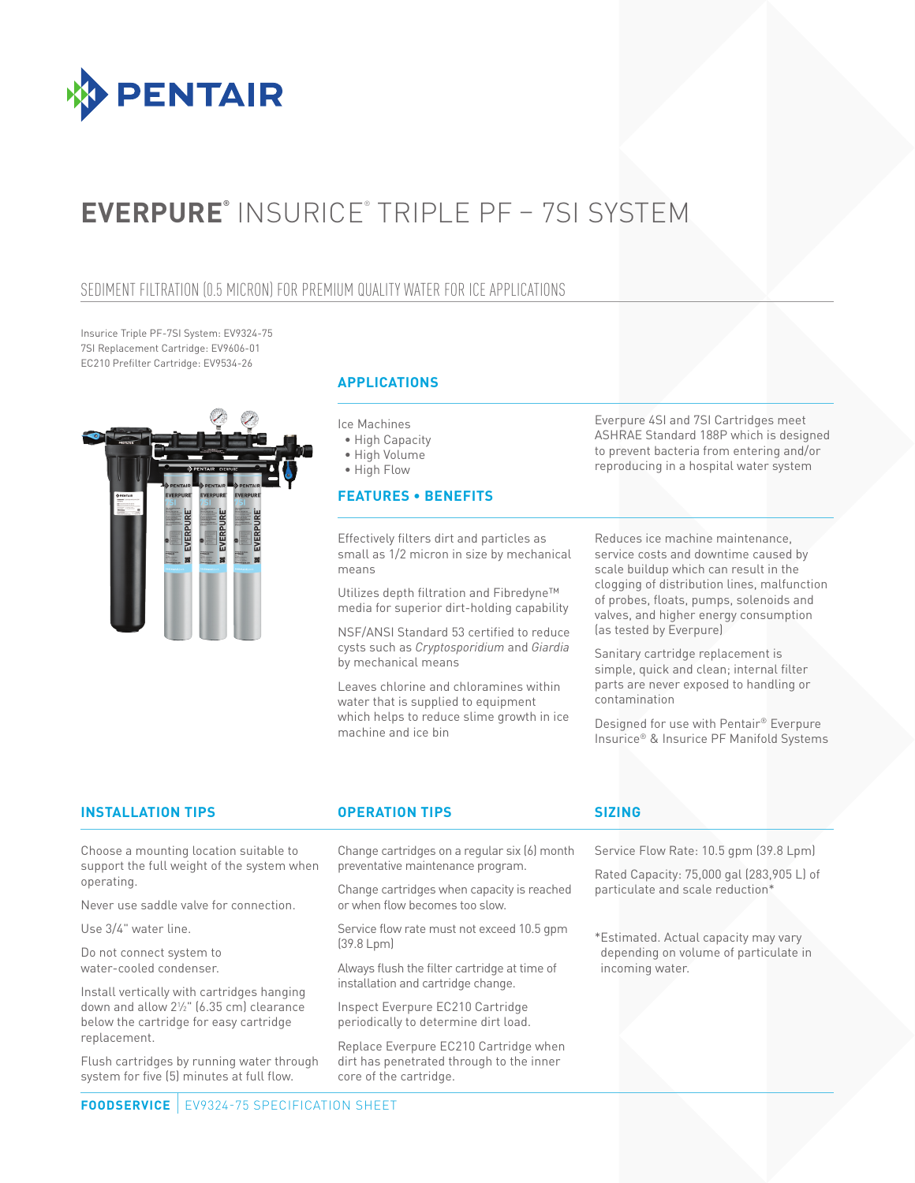

# **EVERPURE®** INSURICE® TRIPLE PF – 7SI SYSTEM

### SEDIMENT FILTRATION (0.5 MICRON) FOR PREMIUM QUALITY WATER FOR ICE APPLICATIONS

Insurice Triple PF-7SI System: EV9324-75 7SI Replacement Cartridge: EV9606-01 EC210 Prefilter Cartridge: EV9534-26



### **APPLICATIONS**

Ice Machines

- High Capacity
- High Volume

• High Flow

### **FEATURES • BENEFITS**

Effectively filters dirt and particles as small as 1/2 micron in size by mechanical means

Utilizes depth filtration and Fibredyne™ media for superior dirt-holding capability

NSF/ANSI Standard 53 certified to reduce cysts such as *Cryptosporidium* and *Giardia*  by mechanical means

Leaves chlorine and chloramines within water that is supplied to equipment which helps to reduce slime growth in ice machine and ice bin

Everpure 4SI and 7SI Cartridges meet ASHRAE Standard 188P which is designed to prevent bacteria from entering and/or reproducing in a hospital water system

Reduces ice machine maintenance, service costs and downtime caused by scale buildup which can result in the clogging of distribution lines, malfunction of probes, floats, pumps, solenoids and valves, and higher energy consumption (as tested by Everpure)

Sanitary cartridge replacement is simple, quick and clean; internal filter parts are never exposed to handling or contamination

Designed for use with Pentair® Everpure Insurice® & Insurice PF Manifold Systems

### **INSTALLATION TIPS OPERATION TIPS SIZING**

Choose a mounting location suitable to support the full weight of the system when operating.

Never use saddle valve for connection.

Use 3/4" water line.

Do not connect system to water-cooled condenser.

Install vertically with cartridges hanging down and allow 21 ⁄2" (6.35 cm) clearance below the cartridge for easy cartridge replacement.

Flush cartridges by running water through system for five (5) minutes at full flow.

Change cartridges on a regular six (6) month preventative maintenance program.

Change cartridges when capacity is reached or when flow becomes too slow.

Service flow rate must not exceed 10.5 gpm (39.8 Lpm)

Always flush the filter cartridge at time of installation and cartridge change.

Inspect Everpure EC210 Cartridge periodically to determine dirt load.

Replace Everpure EC210 Cartridge when dirt has penetrated through to the inner core of the cartridge.

Service Flow Rate: 10.5 gpm (39.8 Lpm)

Rated Capacity: 75,000 gal (283,905 L) of particulate and scale reduction\*

\*Estimated. Actual capacity may vary depending on volume of particulate in incoming water.